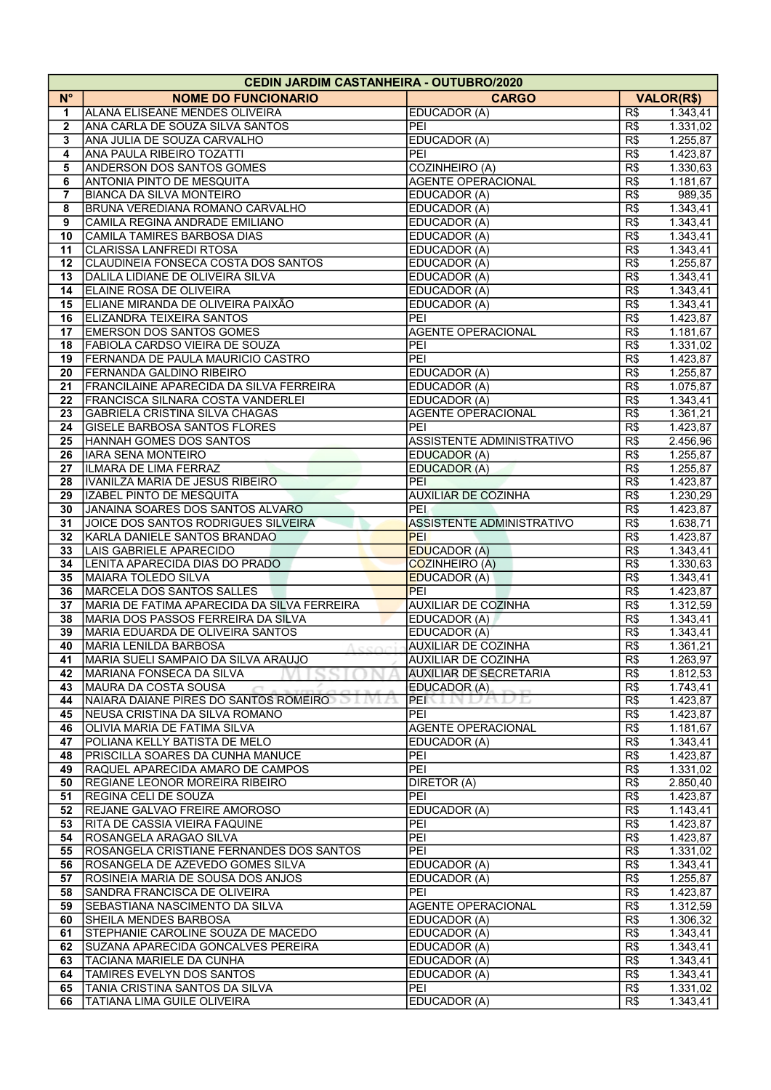|                         | <b>CEDIN JARDIM CASTANHEIRA - OUTUBRO/2020</b> |                                  |                   |          |  |  |  |  |
|-------------------------|------------------------------------------------|----------------------------------|-------------------|----------|--|--|--|--|
| $N^{\circ}$             | <b>NOME DO FUNCIONARIO</b>                     | <b>CARGO</b>                     | <b>VALOR(R\$)</b> |          |  |  |  |  |
| 1                       | <b>ALANA ELISEANE MENDES OLIVEIRA</b>          | EDUCADOR (A)                     | R\$               | 1.343,41 |  |  |  |  |
| $\mathbf{2}$            | ANA CARLA DE SOUZA SILVA SANTOS                | PEI                              | R\$               | 1.331,02 |  |  |  |  |
| 3                       | ANA JULIA DE SOUZA CARVALHO                    | EDUCADOR (A)                     | R\$               | 1.255,87 |  |  |  |  |
| $\overline{\mathbf{4}}$ | <b>ANA PAULA RIBEIRO TOZATTI</b>               | PEI                              | $\overline{R\$    | 1.423,87 |  |  |  |  |
| 5                       | <b>ANDERSON DOS SANTOS GOMES</b>               | <b>COZINHEIRO (A)</b>            | R\$               | 1.330,63 |  |  |  |  |
| 6                       | <b>ANTONIA PINTO DE MESQUITA</b>               | <b>AGENTE OPERACIONAL</b>        | R\$               | 1.181,67 |  |  |  |  |
| 7                       | <b>BIANCA DA SILVA MONTEIRO</b>                | EDUCADOR (A)                     | $\overline{R\$}$  | 989,35   |  |  |  |  |
| 8                       | BRUNA VEREDIANA ROMANO CARVALHO                | EDUCADOR (A)                     | $\overline{R\$}$  | 1.343,41 |  |  |  |  |
| $\boldsymbol{9}$        | CAMILA REGINA ANDRADE EMILIANO                 | EDUCADOR (A)                     | R\$               | 1.343,41 |  |  |  |  |
| 10                      | CAMILA TAMIRES BARBOSA DIAS                    | EDUCADOR (A)                     | R\$               | 1.343,41 |  |  |  |  |
| 11                      | CLARISSA LANFREDI RTOSA                        | EDUCADOR (A)                     | R\$               | 1.343,41 |  |  |  |  |
| 12                      | CLAUDINEIA FONSECA COSTA DOS SANTOS            | EDUCADOR (A)                     | R\$               | 1.255,87 |  |  |  |  |
| 13                      | DALILA LIDIANE DE OLIVEIRA SILVA               | <b>EDUCADOR (A)</b>              | R\$               | 1.343,41 |  |  |  |  |
| 14                      | <b>ELAINE ROSA DE OLIVEIRA</b>                 | EDUCADOR (A)                     | R\$               | 1.343,41 |  |  |  |  |
| 15                      | ELIANE MIRANDA DE OLIVEIRA PAIXÃO              | EDUCADOR (A)                     | R\$               | 1.343,41 |  |  |  |  |
| 16                      | ELIZANDRA TEIXEIRA SANTOS                      | PEI                              | R\$               | 1.423,87 |  |  |  |  |
| 17                      | <b>EMERSON DOS SANTOS GOMES</b>                | <b>AGENTE OPERACIONAL</b>        | R\$               | 1.181,67 |  |  |  |  |
| 18                      | <b>FABIOLA CARDSO VIEIRA DE SOUZA</b>          | PEI                              | R\$               | 1.331,02 |  |  |  |  |
| 19                      | FERNANDA DE PAULA MAURICIO CASTRO              | PEI                              |                   |          |  |  |  |  |
|                         |                                                |                                  | R\$               | 1.423,87 |  |  |  |  |
| 20                      | <b>FERNANDA GALDINO RIBEIRO</b>                | EDUCADOR (A)                     | R\$               | 1.255,87 |  |  |  |  |
| 21                      | <b>FRANCILAINE APARECIDA DA SILVA FERREIRA</b> | EDUCADOR (A)                     | R\$               | 1.075,87 |  |  |  |  |
| 22                      | <b>FRANCISCA SILNARA COSTA VANDERLEI</b>       | EDUCADOR (A)                     | $\overline{R\$    | 1.343,41 |  |  |  |  |
| 23                      | GABRIELA CRISTINA SILVA CHAGAS                 | <b>AGENTE OPERACIONAL</b>        | R\$               | 1.361,21 |  |  |  |  |
| 24                      | <b>GISELE BARBOSA SANTOS FLORES</b>            | PEI                              | R\$               | 1.423,87 |  |  |  |  |
| 25                      | HANNAH GOMES DOS SANTOS                        | <b>ASSISTENTE ADMINISTRATIVO</b> | R\$               | 2.456,96 |  |  |  |  |
| 26                      | IARA SENA MONTEIRO                             | EDUCADOR (A)                     | R\$               | 1.255,87 |  |  |  |  |
| 27                      | ILMARA DE LIMA FERRAZ                          | EDUCADOR (A)                     | $\overline{R\$    | 1.255,87 |  |  |  |  |
| 28                      | IVANILZA MARIA DE JESUS RIBEIRO                | PEI                              | R\$               | 1.423,87 |  |  |  |  |
| 29                      | IZABEL PINTO DE MESQUITA                       | <b>AUXILIAR DE COZINHA</b>       | R\$               | 1.230,29 |  |  |  |  |
| 30                      | JANAINA SOARES DOS SANTOS ALVARO               | <b>PEI</b>                       | R\$               | 1.423,87 |  |  |  |  |
| 31                      | JOICE DOS SANTOS RODRIGUES SILVEIRA            | <b>ASSISTENTE ADMINISTRATIVO</b> | R\$               | 1.638,71 |  |  |  |  |
| 32                      | KARLA DANIELE SANTOS BRANDAO                   | <b>PEI</b>                       | R\$               | 1.423,87 |  |  |  |  |
| 33                      | LAIS GABRIELE APARECIDO                        | <b>EDUCADOR (A)</b>              | $\overline{R\$    | 1.343,41 |  |  |  |  |
| 34                      | LENITA APARECIDA DIAS DO PRADO                 | COZINHEIRO (A)                   | R\$               | 1.330,63 |  |  |  |  |
| 35                      | MAIARA TOLEDO SILVA                            | <b>EDUCADOR (A)</b>              | R\$               | 1.343,41 |  |  |  |  |
| 36                      | MARCELA DOS SANTOS SALLES                      | PEI                              | R\$               | 1.423,87 |  |  |  |  |
| 37                      | MARIA DE FATIMA APARECIDA DA SILVA FERREIRA    | AUXILIAR DE COZINHA              | R\$               | 1.312,59 |  |  |  |  |
| 38                      | MARIA DOS PASSOS FERREIRA DA SILVA             | EDUCADOR (A)                     | R\$               | 1.343,41 |  |  |  |  |
| 39                      | MARIA EDUARDA DE OLIVEIRA SANTOS               | EDUCADOR (A)                     | R\$               | 1.343,41 |  |  |  |  |
| 40                      | MARIA LENILDA BARBOSA                          | <b>AUXILIAR DE COZINHA</b>       | R\$               | 1.361,21 |  |  |  |  |
| 41                      | JMARIA SUELI SAMPAIO DA SILVA ARAUJO           | AUXILIAR DE COZINHA              | R\$               | 1.263,97 |  |  |  |  |
| 42                      | MARIANA FONSECA DA SILVA                       | <b>AUXILIAR DE SECRETARIA</b>    | R\$               | 1.812,53 |  |  |  |  |
| 43                      | <b>IMAURA DA COSTA SOUSA</b>                   | EDUCADOR (A)                     | R\$               | 1.743,41 |  |  |  |  |
| 44                      | NAIARA DAIANE PIRES DO SANTOS ROMEIRO          | PEI<br>ハハリロ                      | R\$               | 1.423,87 |  |  |  |  |
| 45                      | NEUSA CRISTINA DA SILVA ROMANO                 | PEI                              | R\$               | 1.423,87 |  |  |  |  |
| 46                      | OLIVIA MARIA DE FATIMA SILVA                   | AGENTE OPERACIONAL               | R\$               | 1.181,67 |  |  |  |  |
| 47                      | POLIANA KELLY BATISTA DE MELO                  | EDUCADOR (A)                     | R\$               | 1.343,41 |  |  |  |  |
| 48                      | PRISCILLA SOARES DA CUNHA MANUCE               | PEI                              | R\$               | 1.423,87 |  |  |  |  |
| 49                      | RAQUEL APARECIDA AMARO DE CAMPOS               | PEI                              | R\$               | 1.331,02 |  |  |  |  |
| 50                      | <b>REGIANE LEONOR MOREIRA RIBEIRO</b>          | DIRETOR (A)                      | R\$               | 2.850,40 |  |  |  |  |
| 51                      | <b>REGINA CELI DE SOUZA</b>                    | PEI                              | R\$               | 1.423,87 |  |  |  |  |
| 52                      | <b>REJANE GALVAO FREIRE AMOROSO</b>            | EDUCADOR (A)                     | R\$               | 1.143,41 |  |  |  |  |
| 53                      | <b>RITA DE CASSIA VIEIRA FAQUINE</b>           | PEI                              | R\$               | 1.423,87 |  |  |  |  |
| 54                      | ROSANGELA ARAGAO SILVA                         | PEI                              | R\$               | 1.423,87 |  |  |  |  |
| 55                      | ROSANGELA CRISTIANE FERNANDES DOS SANTOS       | PEI                              | R\$               | 1.331,02 |  |  |  |  |
| 56                      | ROSANGELA DE AZEVEDO GOMES SILVA               | EDUCADOR (A)                     | R\$               | 1.343,41 |  |  |  |  |
| 57                      | ROSINEIA MARIA DE SOUSA DOS ANJOS              | EDUCADOR (A)                     | R\$               | 1.255,87 |  |  |  |  |
| 58                      | SANDRA FRANCISCA DE OLIVEIRA                   | PEI                              | R\$               | 1.423,87 |  |  |  |  |
| 59                      | SEBASTIANA NASCIMENTO DA SILVA                 | <b>AGENTE OPERACIONAL</b>        | R\$               | 1.312,59 |  |  |  |  |
| 60                      | SHEILA MENDES BARBOSA                          | EDUCADOR (A)                     | R\$               | 1.306,32 |  |  |  |  |
| 61                      | STEPHANIE CAROLINE SOUZA DE MACEDO             | EDUCADOR (A)                     | R\$               | 1.343,41 |  |  |  |  |
| 62                      | SUZANA APARECIDA GONCALVES PEREIRA             | EDUCADOR (A)                     | R\$               | 1.343,41 |  |  |  |  |
| 63                      | <b>TACIANA MARIELE DA CUNHA</b>                | EDUCADOR (A)                     | R\$               | 1.343,41 |  |  |  |  |
| 64                      | <b>TAMIRES EVELYN DOS SANTOS</b>               | EDUCADOR (A)                     | R\$               | 1.343,41 |  |  |  |  |
| 65                      | TANIA CRISTINA SANTOS DA SILVA                 | PEI                              | R\$               | 1.331,02 |  |  |  |  |
| 66                      | TATIANA LIMA GUILE OLIVEIRA                    | EDUCADOR (A)                     | R\$               | 1.343,41 |  |  |  |  |
|                         |                                                |                                  |                   |          |  |  |  |  |